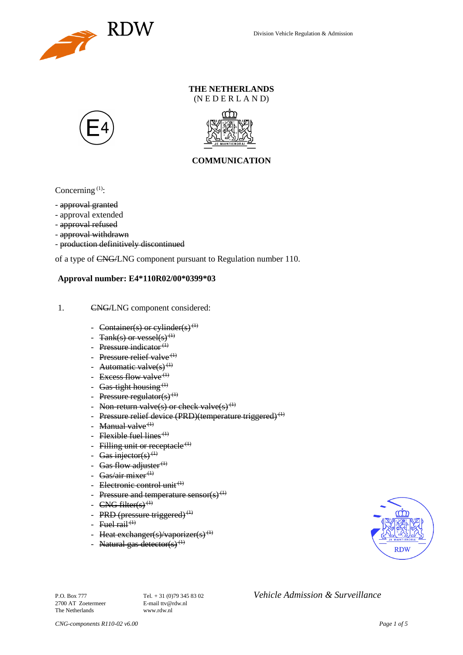

### **THE NETHERLANDS** (N E D E R L A N D)





### **COMMUNICATION**

Concerning  $(1)$ :

- approval granted
- approval extended
- approval refused
- approval withdrawn
- production definitively discontinued

of a type of CNG/LNG component pursuant to Regulation number 110.

#### **Approval number: E4\*110R02/00\*0399\*03**

- 1. CNG/LNG component considered:
	- Container(s) or cylinder(s)<sup>(1)</sup>
	- Tank(s) or vessel(s)<sup>(1)</sup>
	- Pressure indicator $(1)$
	- Pressure relief valve<sup> $(1)$ </sup>
	- Automatic valve $(s)$ <sup>(1)</sup>
	- Excess flow valve<sup> $(1)$ </sup>
	- Gas-tight housing<sup> $(1)$ </sup>
	- Pressure regulator(s) $(1)$
	- Non-return valve(s) or check valve(s)<sup>(1)</sup>
	- Pressure relief device (PRD)(temperature triggered)<sup>(1)</sup>
	- Manual valve $<sup>(1)</sup>$ </sup>
	- Flexible fuel lines<sup> $(1)$ </sup>
	- Filling unit or receptacle  $(1)$
	- Gas injector(s)<sup>(1)</sup>
	- Gas flow adjuster $^{(1)}$
	- Gas/air mixer<sup>(1)</sup>
	- Electronic control unit<sup>(1)</sup>
	- Pressure and temperature sensor(s)<sup>(1)</sup>
	- $CNG$  filter(s)<sup>(1)</sup>
	- PRD (pressure triggered) $<sup>(1)</sup>$ </sup>
	- Fuel rail<sup> $(1)$ </sup>
	- Heat exchanger(s)/vaporizer(s)<sup>(1)</sup>
	- Natural gas detector(s)<sup>(1)</sup>



2700 AT Zoetermeer The Netherlands www.rdw.nl

P.O. Box 777<br> **P.O. Box 777** Tel. + 31 (0)79 345 83 02 *Vehicle Admission & Surveillance*<br>
F-mail tty@rdw.nl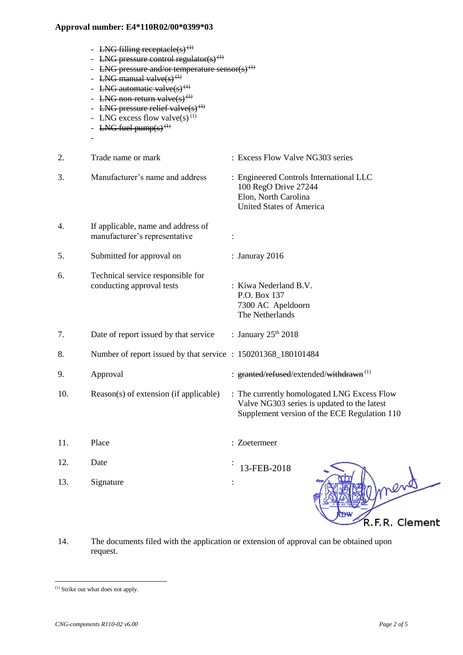|     | - LNG filling receptacle(s) <sup>(1)</sup><br><b>LNG</b> pressure control regulator(s) <sup>(1)</sup><br>- LNG pressure and/or temperature sensor(s) <sup>(1)</sup><br>- LNG manual valve $(s)$ <sup>(1)</sup><br>- LNG automatic valve(s) <sup>(1)</sup><br>- LNG non-return valve $(s)$ <sup>(1)</sup><br>- LNG pressure relief valve $(s)$ <sup>(1)</sup><br>- LNG excess flow valve(s) <sup>(1)</sup><br>- LNG fuel pump(s) <sup>(1)</sup> |                                                                                                                                            |
|-----|------------------------------------------------------------------------------------------------------------------------------------------------------------------------------------------------------------------------------------------------------------------------------------------------------------------------------------------------------------------------------------------------------------------------------------------------|--------------------------------------------------------------------------------------------------------------------------------------------|
| 2.  | Trade name or mark                                                                                                                                                                                                                                                                                                                                                                                                                             | : Excess Flow Valve NG303 series                                                                                                           |
| 3.  | Manufacturer's name and address                                                                                                                                                                                                                                                                                                                                                                                                                | : Engineered Controls International LLC<br>100 RegO Drive 27244<br>Elon, North Carolina<br><b>United States of America</b>                 |
| 4.  | If applicable, name and address of<br>manufacturer's representative                                                                                                                                                                                                                                                                                                                                                                            |                                                                                                                                            |
| 5.  | Submitted for approval on                                                                                                                                                                                                                                                                                                                                                                                                                      | : Januray 2016                                                                                                                             |
| 6.  | Technical service responsible for<br>conducting approval tests                                                                                                                                                                                                                                                                                                                                                                                 | : Kiwa Nederland B.V.<br>P.O. Box 137<br>7300 AC Apeldoorn<br>The Netherlands                                                              |
| 7.  | Date of report issued by that service                                                                                                                                                                                                                                                                                                                                                                                                          | : January $25th 2018$                                                                                                                      |
| 8.  | Number of report issued by that service : 150201368_180101484                                                                                                                                                                                                                                                                                                                                                                                  |                                                                                                                                            |
| 9.  | Approval                                                                                                                                                                                                                                                                                                                                                                                                                                       | : granted/refused/extended/withdrawn <sup>(1)</sup>                                                                                        |
| 10. | Reason(s) of extension (if applicable)                                                                                                                                                                                                                                                                                                                                                                                                         | : The currently homologated LNG Excess Flow<br>Valve NG303 series is updated to the latest<br>Supplement version of the ECE Regulation 110 |
| 11. | Place                                                                                                                                                                                                                                                                                                                                                                                                                                          | : Zoetermeer                                                                                                                               |
| 12. | Date                                                                                                                                                                                                                                                                                                                                                                                                                                           | 13-FEB-2018                                                                                                                                |
| 13. | Signature                                                                                                                                                                                                                                                                                                                                                                                                                                      | nend                                                                                                                                       |

14. The documents filed with the application or extension of approval can be obtained upon request.

l

R.F.R. Clement

<sup>(1)</sup> Strike out what does not apply.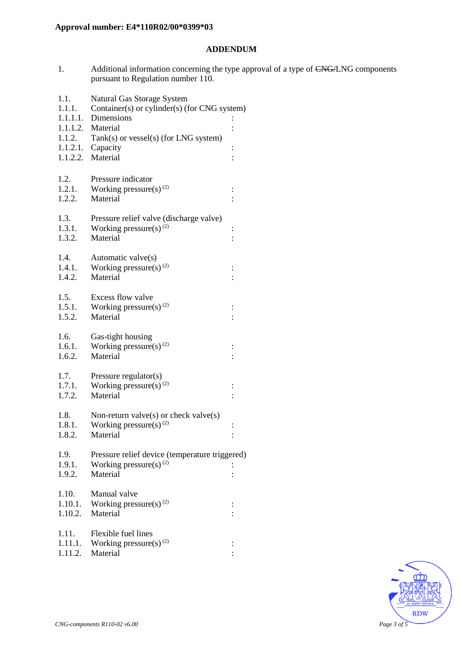### **ADDENDUM**

1. Additional information concerning the type approval of a type of CNG/LNG components pursuant to Regulation number 110.

| 1.1.<br>1.1.1. | Natural Gas Storage System<br>Container(s) or cylinder(s) (for CNG system) |                |  |
|----------------|----------------------------------------------------------------------------|----------------|--|
| 1.1.1.1.       | Dimensions                                                                 |                |  |
|                | 1.1.1.2. Material                                                          |                |  |
| 1.1.2.         | Tank(s) or vessel(s) (for LNG system)                                      |                |  |
|                | $1.1.2.1.$ Capacity                                                        | $\vdots$       |  |
|                | 1.1.2.2. Material                                                          |                |  |
|                |                                                                            |                |  |
| 1.2.<br>1.2.1. | Pressure indicator<br>Working pressure(s) $(2)$                            |                |  |
| 1.2.2.         | Material                                                                   | $\vdots$       |  |
|                |                                                                            |                |  |
| 1.3.           | Pressure relief valve (discharge valve)                                    |                |  |
| 1.3.1.         | Working pressure(s) $^{(2)}$                                               | $\vdots$       |  |
| 1.3.2.         | Material                                                                   |                |  |
| 1.4.           | Automatic valve(s)                                                         |                |  |
| 1.4.1.         | Working pressure(s) $^{(2)}$                                               | $\vdots$       |  |
| 1.4.2.         | Material                                                                   |                |  |
|                |                                                                            |                |  |
| 1.5.           | Excess flow valve                                                          |                |  |
| 1.5.1.         | Working pressure(s) $^{(2)}$                                               | $\ddot{\cdot}$ |  |
| 1.5.2.         | Material                                                                   |                |  |
| 1.6.           | Gas-tight housing                                                          |                |  |
| 1.6.1.         | Working pressure(s) $(2)$                                                  |                |  |
| 1.6.2.         | Material                                                                   |                |  |
|                |                                                                            |                |  |
| 1.7.<br>1.7.1. | Pressure regulator(s)<br>Working pressure(s) <sup>(2)</sup>                |                |  |
| 1.7.2.         | Material                                                                   | $\vdots$       |  |
|                |                                                                            |                |  |
| 1.8.           | Non-return valve $(s)$ or check valve $(s)$                                |                |  |
| 1.8.1.         | Working pressure(s) $^{(2)}$                                               | $\vdots$       |  |
| 1.8.2.         | Material                                                                   | $\vdots$       |  |
| 1.9.           | Pressure relief device (temperature triggered)                             |                |  |
| 1.9.1.         | Working pressure(s) $(2)$                                                  |                |  |
| 1.9.2.         | Material                                                                   |                |  |
|                |                                                                            |                |  |
| 1.10.          | Manual valve                                                               |                |  |
| 1.10.1.        | Working pressure(s) $^{(2)}$                                               | $\ddot{\cdot}$ |  |
| 1.10.2.        | Material                                                                   |                |  |
| 1.11.          | Flexible fuel lines                                                        |                |  |
| 1.11.1.        | Working pressure(s) $^{(2)}$                                               | $\vdots$       |  |
| 1.11.2.        | Material                                                                   |                |  |
|                |                                                                            |                |  |

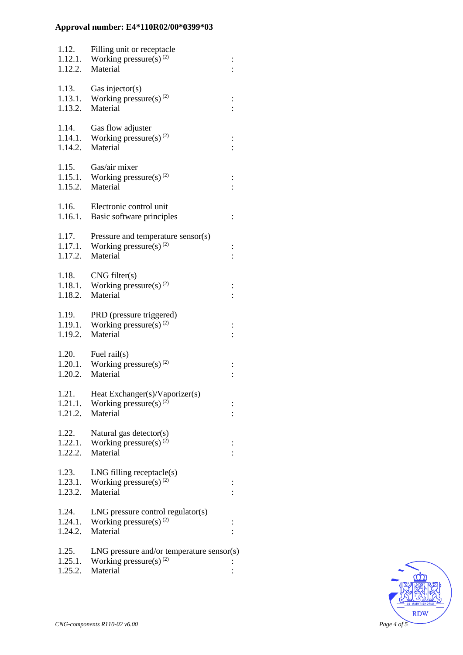| 1.12.<br>1.12.1.<br>1.12.2. | Filling unit or receptacle<br>Working pressure(s) $^{(2)}$<br>Material                        |                      |
|-----------------------------|-----------------------------------------------------------------------------------------------|----------------------|
| 1.13.<br>1.13.1.<br>1.13.2. | Gas injector(s)<br>Working pressure(s) $^{(2)}$<br>Material                                   |                      |
| 1.14.<br>1.14.1.<br>1.14.2. | Gas flow adjuster<br>Working pressure(s) $(2)$<br>Material                                    |                      |
| 1.15.<br>1.15.1.<br>1.15.2. | Gas/air mixer<br>Working pressure(s) $(2)$<br>Material                                        |                      |
| 1.16.<br>1.16.1.            | Electronic control unit<br>Basic software principles                                          | $\vdots$             |
| 1.17.<br>1.17.1.<br>1.17.2. | Pressure and temperature sensor(s)<br>Working pressure(s) $^{(2)}$<br>Material                | $\vdots$<br>$\vdots$ |
| 1.18.<br>1.18.2.            | CNG filter(s)<br>1.18.1. Working pressure(s) <sup>(2)</sup><br>Material                       |                      |
| 1.19.<br>1.19.1.<br>1.19.2. | PRD (pressure triggered)<br>Working pressure(s) $^{(2)}$<br>Material                          | $\frac{1}{1}$        |
| 1.20.<br>1.20.2.            | Fuel $\text{raid}(s)$<br>1.20.1. Working pressure(s) <sup>(2)</sup><br>Material               |                      |
| 1.21.<br>1.21.1.<br>1.21.2. | Heat Exchanger(s)/Vaporizer(s)<br>Working pressure(s) $(2)$<br>Material                       |                      |
| 1.22.<br>1.22.1.<br>1.22.2. | Natural gas detector(s)<br>Working pressure(s) $^{(2)}$<br>Material                           |                      |
| 1.23.<br>1.23.1.<br>1.23.2. | $LNG$ filling receptacle $(s)$<br>Working pressure(s) $^{(2)}$<br>Material                    |                      |
| 1.24.<br>1.24.1.<br>1.24.2. | $LNG$ pressure control regulator(s)<br>Working pressure(s) $^{(2)}$<br>Material               |                      |
| 1.25.<br>1.25.1.<br>1.25.2. | $LNG$ pressure and/or temperature sensor(s)<br>Working pressure(s) <sup>(2)</sup><br>Material |                      |